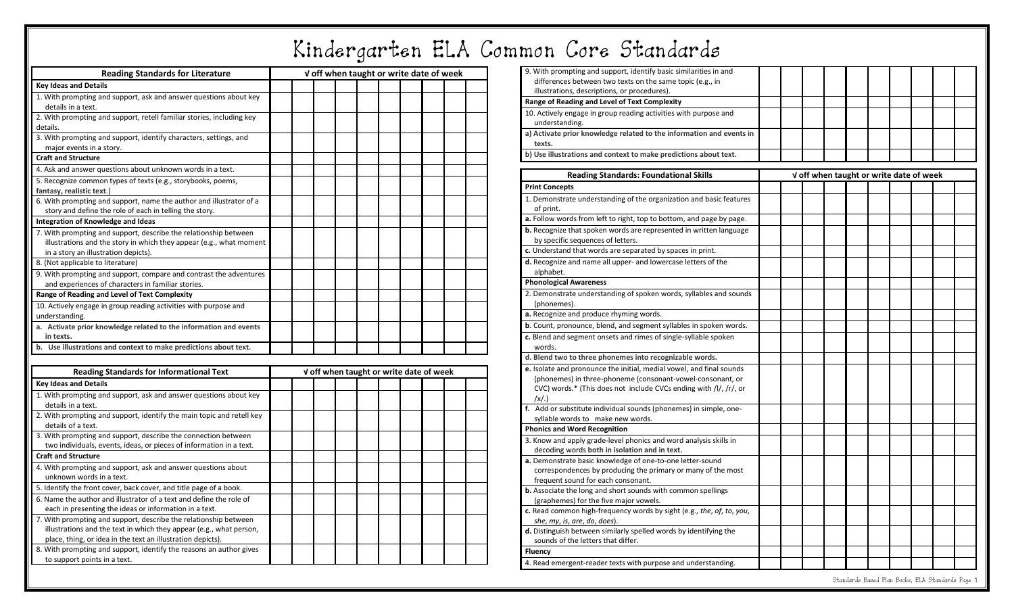## Kindergarten ELA Common Core Standards

| <b>Reading Standards for Literature</b>                                                             |  |  | V off when taught or write date of week |  |                                         |  |  |  |  |  |  |  |  |
|-----------------------------------------------------------------------------------------------------|--|--|-----------------------------------------|--|-----------------------------------------|--|--|--|--|--|--|--|--|
| <b>Key Ideas and Details</b>                                                                        |  |  |                                         |  |                                         |  |  |  |  |  |  |  |  |
| 1. With prompting and support, ask and answer questions about key                                   |  |  |                                         |  |                                         |  |  |  |  |  |  |  |  |
| details in a text.                                                                                  |  |  |                                         |  |                                         |  |  |  |  |  |  |  |  |
| 2. With prompting and support, retell familiar stories, including key                               |  |  |                                         |  |                                         |  |  |  |  |  |  |  |  |
| details.                                                                                            |  |  |                                         |  |                                         |  |  |  |  |  |  |  |  |
| 3. With prompting and support, identify characters, settings, and                                   |  |  |                                         |  |                                         |  |  |  |  |  |  |  |  |
| major events in a story.                                                                            |  |  |                                         |  |                                         |  |  |  |  |  |  |  |  |
| <b>Craft and Structure</b>                                                                          |  |  |                                         |  |                                         |  |  |  |  |  |  |  |  |
| 4. Ask and answer questions about unknown words in a text.                                          |  |  |                                         |  |                                         |  |  |  |  |  |  |  |  |
| 5. Recognize common types of texts (e.g., storybooks, poems,                                        |  |  |                                         |  |                                         |  |  |  |  |  |  |  |  |
| fantasy, realistic text.)                                                                           |  |  |                                         |  |                                         |  |  |  |  |  |  |  |  |
| 6. With prompting and support, name the author and illustrator of a                                 |  |  |                                         |  |                                         |  |  |  |  |  |  |  |  |
| story and define the role of each in telling the story.                                             |  |  |                                         |  |                                         |  |  |  |  |  |  |  |  |
| Integration of Knowledge and Ideas                                                                  |  |  |                                         |  |                                         |  |  |  |  |  |  |  |  |
| 7. With prompting and support, describe the relationship between                                    |  |  |                                         |  |                                         |  |  |  |  |  |  |  |  |
| illustrations and the story in which they appear (e.g., what moment                                 |  |  |                                         |  |                                         |  |  |  |  |  |  |  |  |
| in a story an illustration depicts).                                                                |  |  |                                         |  |                                         |  |  |  |  |  |  |  |  |
| 8. (Not applicable to literature)                                                                   |  |  |                                         |  |                                         |  |  |  |  |  |  |  |  |
| 9. With prompting and support, compare and contrast the adventures                                  |  |  |                                         |  |                                         |  |  |  |  |  |  |  |  |
| and experiences of characters in familiar stories.                                                  |  |  |                                         |  |                                         |  |  |  |  |  |  |  |  |
| Range of Reading and Level of Text Complexity                                                       |  |  |                                         |  |                                         |  |  |  |  |  |  |  |  |
| 10. Actively engage in group reading activities with purpose and                                    |  |  |                                         |  |                                         |  |  |  |  |  |  |  |  |
| understanding.                                                                                      |  |  |                                         |  |                                         |  |  |  |  |  |  |  |  |
| a. Activate prior knowledge related to the information and events                                   |  |  |                                         |  |                                         |  |  |  |  |  |  |  |  |
| in texts.                                                                                           |  |  |                                         |  |                                         |  |  |  |  |  |  |  |  |
| b. Use illustrations and context to make predictions about text.                                    |  |  |                                         |  |                                         |  |  |  |  |  |  |  |  |
|                                                                                                     |  |  |                                         |  |                                         |  |  |  |  |  |  |  |  |
| <b>Reading Standards for Informational Text</b>                                                     |  |  |                                         |  | V off when taught or write date of week |  |  |  |  |  |  |  |  |
| <b>Key Ideas and Details</b>                                                                        |  |  |                                         |  |                                         |  |  |  |  |  |  |  |  |
| 1. With prompting and support, ask and answer questions about key                                   |  |  |                                         |  |                                         |  |  |  |  |  |  |  |  |
| details in a text.                                                                                  |  |  |                                         |  |                                         |  |  |  |  |  |  |  |  |
| 2. With prompting and support, identify the main topic and retell key                               |  |  |                                         |  |                                         |  |  |  |  |  |  |  |  |
| details of a text.                                                                                  |  |  |                                         |  |                                         |  |  |  |  |  |  |  |  |
| 3. With prompting and support, describe the connection between                                      |  |  |                                         |  |                                         |  |  |  |  |  |  |  |  |
| two individuals, events, ideas, or pieces of information in a text.                                 |  |  |                                         |  |                                         |  |  |  |  |  |  |  |  |
| <b>Craft and Structure</b>                                                                          |  |  |                                         |  |                                         |  |  |  |  |  |  |  |  |
| 4. With prompting and support, ask and answer questions about                                       |  |  |                                         |  |                                         |  |  |  |  |  |  |  |  |
| unknown words in a text.                                                                            |  |  |                                         |  |                                         |  |  |  |  |  |  |  |  |
| 5. Identify the front cover, back cover, and title page of a book.                                  |  |  |                                         |  |                                         |  |  |  |  |  |  |  |  |
| 6. Name the author and illustrator of a text and define the role of                                 |  |  |                                         |  |                                         |  |  |  |  |  |  |  |  |
| each in presenting the ideas or information in a text.                                              |  |  |                                         |  |                                         |  |  |  |  |  |  |  |  |
| 7. With prompting and support, describe the relationship between                                    |  |  |                                         |  |                                         |  |  |  |  |  |  |  |  |
| illustrations and the text in which they appear (e.g., what person,                                 |  |  |                                         |  |                                         |  |  |  |  |  |  |  |  |
| place, thing, or idea in the text an illustration depicts).                                         |  |  |                                         |  |                                         |  |  |  |  |  |  |  |  |
| 8. With prompting and support, identify the reasons an author gives<br>to support points in a text. |  |  |                                         |  |                                         |  |  |  |  |  |  |  |  |
|                                                                                                     |  |  |                                         |  |                                         |  |  |  |  |  |  |  |  |

| 9. With prompting and support, identify basic similarities in and<br>differences between two texts on the same topic (e.g., in<br>illustrations, descriptions, or procedures). |  |  |  |  |  |
|--------------------------------------------------------------------------------------------------------------------------------------------------------------------------------|--|--|--|--|--|
| Range of Reading and Level of Text Complexity                                                                                                                                  |  |  |  |  |  |
| 10. Actively engage in group reading activities with purpose and<br>understanding.                                                                                             |  |  |  |  |  |
| a) Activate prior knowledge related to the information and events in<br>texts.                                                                                                 |  |  |  |  |  |
| b) Use illustrations and context to make predictions about text.                                                                                                               |  |  |  |  |  |

| <b>Reading Standards: Foundational Skills</b>                                                              | V off when taught or write date of week |  |  |  |  |  |  |  |
|------------------------------------------------------------------------------------------------------------|-----------------------------------------|--|--|--|--|--|--|--|
| <b>Print Concepts</b>                                                                                      |                                         |  |  |  |  |  |  |  |
| 1. Demonstrate understanding of the organization and basic features                                        |                                         |  |  |  |  |  |  |  |
| of print.                                                                                                  |                                         |  |  |  |  |  |  |  |
| a. Follow words from left to right, top to bottom, and page by page.                                       |                                         |  |  |  |  |  |  |  |
| b. Recognize that spoken words are represented in written language                                         |                                         |  |  |  |  |  |  |  |
| by specific sequences of letters.                                                                          |                                         |  |  |  |  |  |  |  |
| c. Understand that words are separated by spaces in print.                                                 |                                         |  |  |  |  |  |  |  |
| d. Recognize and name all upper- and lowercase letters of the<br>alphabet.                                 |                                         |  |  |  |  |  |  |  |
| <b>Phonological Awareness</b>                                                                              |                                         |  |  |  |  |  |  |  |
| 2. Demonstrate understanding of spoken words, syllables and sounds                                         |                                         |  |  |  |  |  |  |  |
| (phonemes)                                                                                                 |                                         |  |  |  |  |  |  |  |
| a. Recognize and produce rhyming words.                                                                    |                                         |  |  |  |  |  |  |  |
| b. Count, pronounce, blend, and segment syllables in spoken words.                                         |                                         |  |  |  |  |  |  |  |
| c. Blend and segment onsets and rimes of single-syllable spoken                                            |                                         |  |  |  |  |  |  |  |
| words.                                                                                                     |                                         |  |  |  |  |  |  |  |
| d. Blend two to three phonemes into recognizable words.                                                    |                                         |  |  |  |  |  |  |  |
| e. Isolate and pronounce the initial, medial vowel, and final sounds                                       |                                         |  |  |  |  |  |  |  |
| (phonemes) in three-phoneme (consonant-vowel-consonant, or                                                 |                                         |  |  |  |  |  |  |  |
| CVC) words.* (This does not include CVCs ending with /l/, /r/, or                                          |                                         |  |  |  |  |  |  |  |
| $\left  \chi \right $ .)                                                                                   |                                         |  |  |  |  |  |  |  |
| f. Add or substitute individual sounds (phonemes) in simple, one-                                          |                                         |  |  |  |  |  |  |  |
| syllable words to make new words.                                                                          |                                         |  |  |  |  |  |  |  |
| <b>Phonics and Word Recognition</b>                                                                        |                                         |  |  |  |  |  |  |  |
| 3. Know and apply grade-level phonics and word analysis skills in                                          |                                         |  |  |  |  |  |  |  |
| decoding words both in isolation and in text.<br>a. Demonstrate basic knowledge of one-to-one letter-sound |                                         |  |  |  |  |  |  |  |
| correspondences by producing the primary or many of the most                                               |                                         |  |  |  |  |  |  |  |
| frequent sound for each consonant.                                                                         |                                         |  |  |  |  |  |  |  |
| b. Associate the long and short sounds with common spellings                                               |                                         |  |  |  |  |  |  |  |
| (graphemes) for the five major vowels.                                                                     |                                         |  |  |  |  |  |  |  |
| c. Read common high-frequency words by sight (e.g., the, of, to, you,                                      |                                         |  |  |  |  |  |  |  |
| she, my, is, are, do, does).                                                                               |                                         |  |  |  |  |  |  |  |
| d. Distinguish between similarly spelled words by identifying the                                          |                                         |  |  |  |  |  |  |  |
| sounds of the letters that differ.                                                                         |                                         |  |  |  |  |  |  |  |
| <b>Fluency</b>                                                                                             |                                         |  |  |  |  |  |  |  |
| 4. Read emergent-reader texts with purpose and understanding.                                              |                                         |  |  |  |  |  |  |  |
|                                                                                                            |                                         |  |  |  |  |  |  |  |

Standards Based Plan Books, ELA Standards Page 1